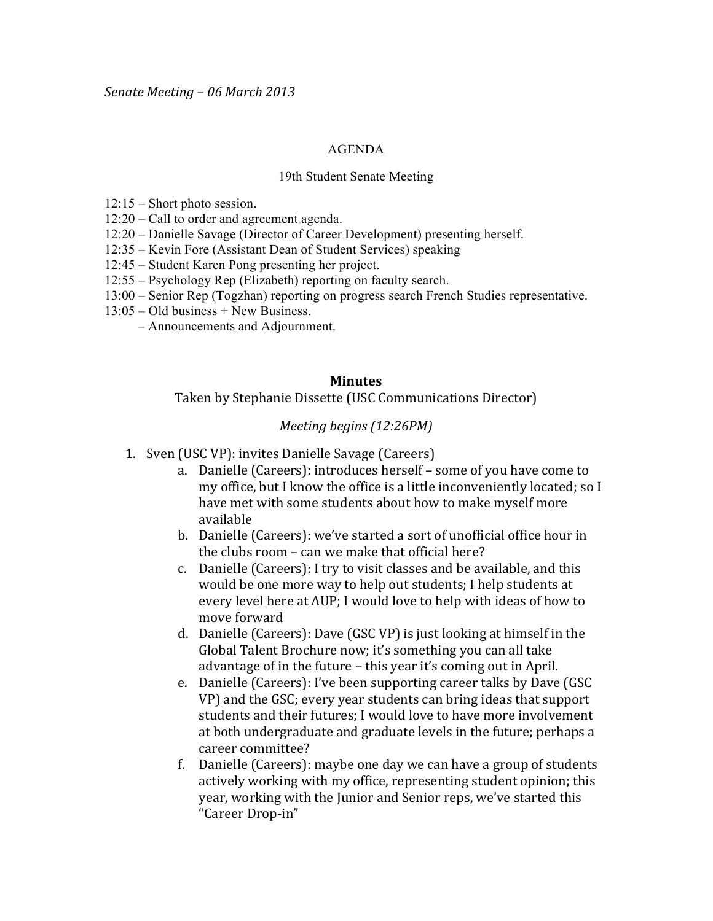## AGENDA

## 19th Student Senate Meeting

- 12:15 Short photo session.
- 12:20 Call to order and agreement agenda.
- 12:20 Danielle Savage (Director of Career Development) presenting herself.
- 12:35 Kevin Fore (Assistant Dean of Student Services) speaking
- 12:45 Student Karen Pong presenting her project.
- 12:55 Psychology Rep (Elizabeth) reporting on faculty search.
- 13:00 Senior Rep (Togzhan) reporting on progress search French Studies representative.
- 13:05 Old business + New Business.
	- Announcements and Adjournment.

## **Minutes**

Taken by Stephanie Dissette (USC Communications Director)

## *Meeting begins (12:26PM)*

- 1. Sven (USC VP): invites Danielle Savage (Careers)
	- a. Danielle (Careers): introduces herself some of you have come to my office, but I know the office is a little inconveniently located; so I have met with some students about how to make myself more available
	- b. Danielle (Careers): we've started a sort of unofficial office hour in the clubs room – can we make that official here?
	- c. Danielle (Careers): I try to visit classes and be available, and this would be one more way to help out students; I help students at every level here at AUP; I would love to help with ideas of how to move forward
	- d. Danielle (Careers): Dave (GSC VP) is just looking at himself in the Global Talent Brochure now; it's something you can all take advantage of in the future – this year it's coming out in April.
	- e. Danielle (Careers): I've been supporting career talks by Dave (GSC) VP) and the GSC; every year students can bring ideas that support students and their futures; I would love to have more involvement at both undergraduate and graduate levels in the future; perhaps a career committee?
	- f. Danielle (Careers): maybe one day we can have a group of students actively working with my office, representing student opinion; this year, working with the Junior and Senior reps, we've started this "Career Drop-in"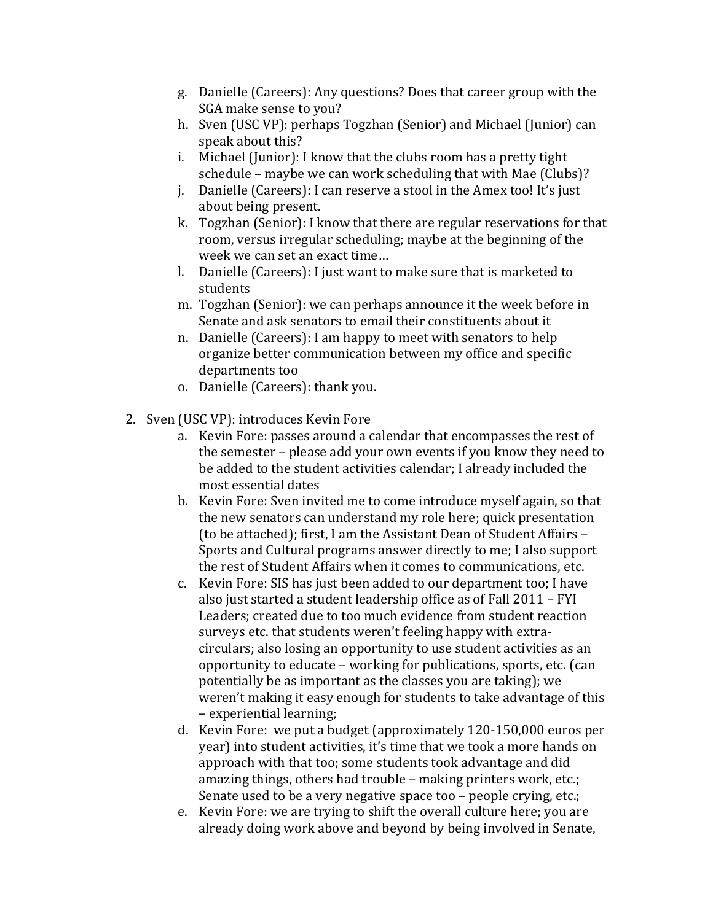- g. Danielle (Careers): Any questions? Does that career group with the SGA make sense to you?
- h. Sven (USC VP): perhaps Togzhan (Senior) and Michael (Junior) can speak about this?
- i. Michael (Junior): I know that the clubs room has a pretty tight schedule – maybe we can work scheduling that with Mae (Clubs)?
- j. Danielle (Careers): I can reserve a stool in the Amex too! It's just about being present.
- k. Togzhan (Senior): I know that there are regular reservations for that room, versus irregular scheduling; maybe at the beginning of the week we can set an exact time...
- l. Danielle (Careers): I just want to make sure that is marketed to students
- m. Togzhan (Senior): we can perhaps announce it the week before in Senate and ask senators to email their constituents about it
- n. Danielle (Careers): I am happy to meet with senators to help organize better communication between my office and specific departments too
- o. Danielle (Careers): thank you.
- 2. Sven (USC VP): introduces Kevin Fore
	- a. Kevin Fore: passes around a calendar that encompasses the rest of the semester – please add your own events if you know they need to be added to the student activities calendar; I already included the most essential dates
	- b. Kevin Fore: Sven invited me to come introduce myself again, so that the new senators can understand my role here; quick presentation (to be attached); first, I am the Assistant Dean of Student Affairs – Sports and Cultural programs answer directly to me; I also support the rest of Student Affairs when it comes to communications, etc.
	- c. Kevin Fore: SIS has just been added to our department too: I have also just started a student leadership office as of Fall 2011 - FYI Leaders; created due to too much evidence from student reaction surveys etc. that students weren't feeling happy with extracirculars; also losing an opportunity to use student activities as an opportunity to educate – working for publications, sports, etc. (can potentially be as important as the classes you are taking); we weren't making it easy enough for students to take advantage of this – experiential learning;
	- d. Kevin Fore: we put a budget (approximately 120-150,000 euros per year) into student activities, it's time that we took a more hands on approach with that too; some students took advantage and did amazing things, others had trouble – making printers work, etc.; Senate used to be a very negative space too – people crying, etc.;
	- e. Kevin Fore: we are trying to shift the overall culture here; you are already doing work above and beyond by being involved in Senate,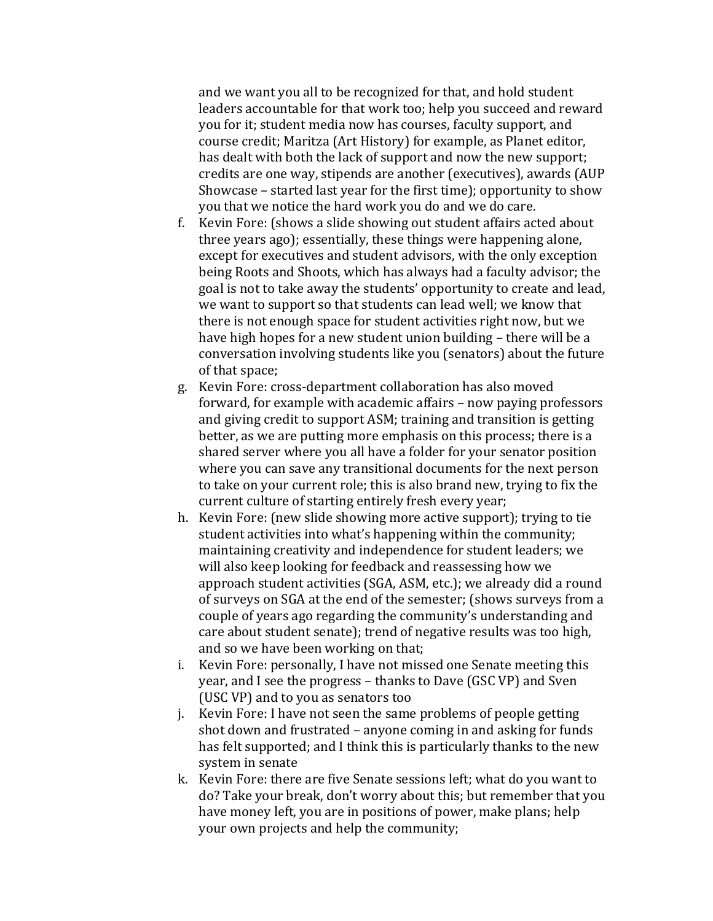and we want you all to be recognized for that, and hold student leaders accountable for that work too; help you succeed and reward you for it; student media now has courses, faculty support, and course credit; Maritza (Art History) for example, as Planet editor, has dealt with both the lack of support and now the new support; credits are one way, stipends are another (executives), awards (AUP Showcase – started last year for the first time); opportunity to show you that we notice the hard work you do and we do care.

- f. Kevin Fore: (shows a slide showing out student affairs acted about three years ago); essentially, these things were happening alone, except for executives and student advisors, with the only exception being Roots and Shoots, which has always had a faculty advisor; the goal is not to take away the students' opportunity to create and lead, we want to support so that students can lead well; we know that there is not enough space for student activities right now, but we have high hopes for a new student union building – there will be a conversation involving students like you (senators) about the future of that space;
- g. Kevin Fore: cross-department collaboration has also moved forward, for example with academic affairs – now paying professors and giving credit to support ASM; training and transition is getting better, as we are putting more emphasis on this process; there is a shared server where you all have a folder for your senator position where you can save any transitional documents for the next person to take on your current role; this is also brand new, trying to fix the current culture of starting entirely fresh every year;
- h. Kevin Fore: (new slide showing more active support); trying to tie student activities into what's happening within the community; maintaining creativity and independence for student leaders; we will also keep looking for feedback and reassessing how we approach student activities (SGA, ASM, etc.); we already did a round of surveys on SGA at the end of the semester; (shows surveys from a couple of years ago regarding the community's understanding and care about student senate); trend of negative results was too high, and so we have been working on that;
- i. Kevin Fore: personally, I have not missed one Senate meeting this year, and I see the progress – thanks to Dave (GSC VP) and Sven (USC VP) and to you as senators too
- j. Kevin Fore: I have not seen the same problems of people getting shot down and frustrated – anyone coming in and asking for funds has felt supported; and I think this is particularly thanks to the new system in senate
- k. Kevin Fore: there are five Senate sessions left; what do you want to do? Take your break, don't worry about this; but remember that you have money left, you are in positions of power, make plans; help your own projects and help the community;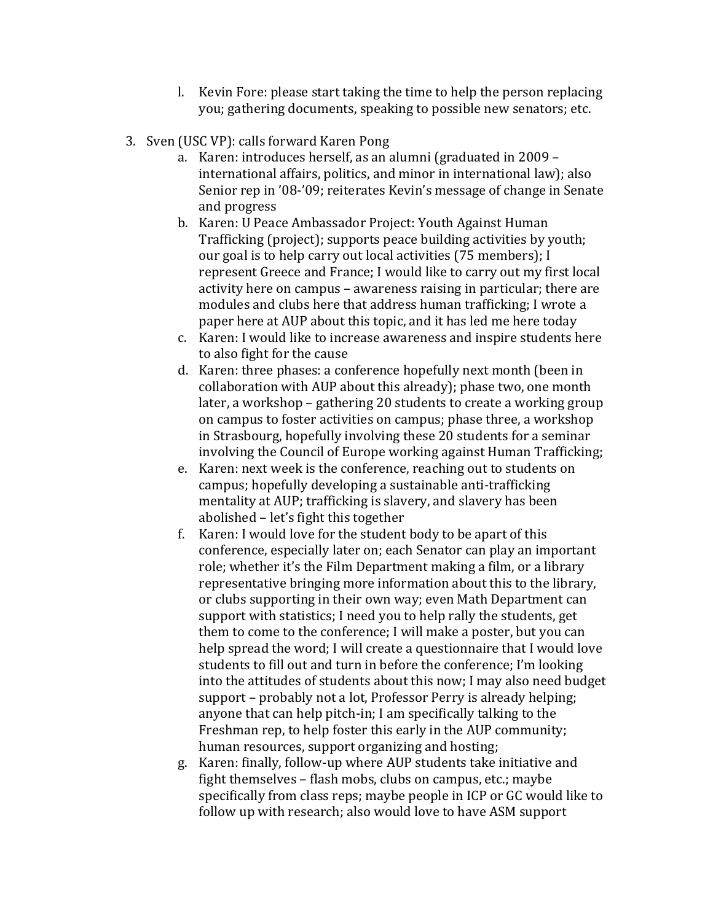- l. Kevin Fore: please start taking the time to help the person replacing you; gathering documents, speaking to possible new senators; etc.
- 3. Sven (USC VP): calls forward Karen Pong
	- a. Karen: introduces herself, as an alumni (graduated in 2009 international affairs, politics, and minor in international law); also Senior rep in '08-'09; reiterates Kevin's message of change in Senate and!progress
	- b. Karen: U Peace Ambassador Project: Youth Against Human Trafficking (project); supports peace building activities by youth; our goal is to help carry out local activities (75 members); I represent Greece and France; I would like to carry out my first local activity here on campus – awareness raising in particular; there are modules and clubs here that address human trafficking; I wrote a paper here at AUP about this topic, and it has led me here today
	- c. Karen: I would like to increase awareness and inspire students here to also fight for the cause
	- d. Karen: three phases: a conference hopefully next month (been in collaboration with AUP about this already); phase two, one month later, a workshop – gathering 20 students to create a working group on campus to foster activities on campus; phase three, a workshop in Strasbourg, hopefully involving these 20 students for a seminar involving the Council of Europe working against Human Trafficking;
	- e. Karen: next week is the conference, reaching out to students on campus; hopefully developing a sustainable anti-trafficking mentality at AUP; trafficking is slavery, and slavery has been abolished – let's fight this together
	- f. Karen: I would love for the student body to be apart of this conference, especially later on; each Senator can play an important role; whether it's the Film Department making a film, or a library representative bringing more information about this to the library, or clubs supporting in their own way; even Math Department can support with statistics; I need you to help rally the students, get them to come to the conference; I will make a poster, but you can help spread the word; I will create a questionnaire that I would love students to fill out and turn in before the conference; I'm looking into the attitudes of students about this now; I may also need budget support – probably not a lot, Professor Perry is already helping; anyone that can help pitch-in; I am specifically talking to the Freshman rep, to help foster this early in the AUP community; human resources, support organizing and hosting;
	- g. Karen: finally, follow-up where AUP students take initiative and fight themselves – flash mobs, clubs on campus, etc.; maybe specifically from class reps; maybe people in ICP or GC would like to follow up with research; also would love to have ASM support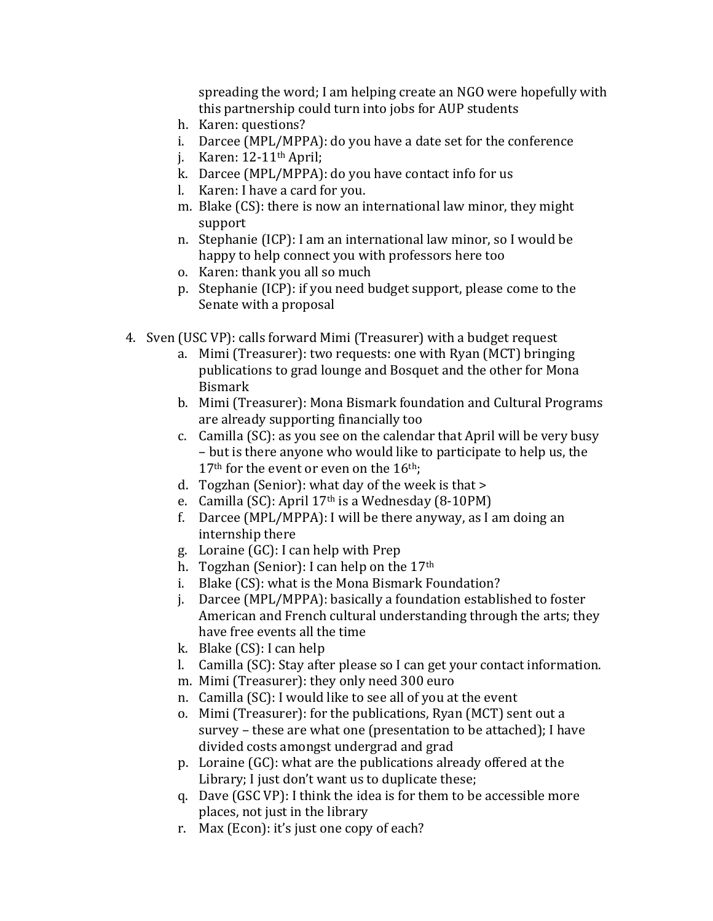spreading the word; I am helping create an NGO were hopefully with this partnership could turn into jobs for AUP students

- h. Karen: questions?
- i. Darcee (MPL/MPPA): do you have a date set for the conference
- j. Karen:  $12-11^{\text{th}}$  April;
- k. Darcee (MPL/MPPA): do you have contact info for us
- l. Karen: I have a card for you.
- m. Blake  $(CS)$ : there is now an international law minor, they might support
- n. Stephanie (ICP): I am an international law minor, so I would be happy to help connect you with professors here too
- o. Karen: thank you all so much
- p. Stephanie (ICP): if you need budget support, please come to the Senate with a proposal
- 4. Sven (USC VP): calls forward Mimi (Treasurer) with a budget request
	- a. Mimi (Treasurer): two requests: one with Ryan (MCT) bringing publications to grad lounge and Bosquet and the other for Mona Bismark
	- b. Mimi (Treasurer): Mona Bismark foundation and Cultural Programs are already supporting financially too
	- c. Camilla (SC): as you see on the calendar that April will be very busy – but is there anyone who would like to participate to help us, the  $17<sup>th</sup>$  for the event or even on the  $16<sup>th</sup>$ ;
	- d. Togzhan (Senior): what day of the week is that  $>$
	- e. Camilla (SC): April  $17<sup>th</sup>$  is a Wednesday (8-10PM)
	- f. Darcee (MPL/MPPA): I will be there anyway, as I am doing an internship there
	- g. Loraine (GC): I can help with Prep
	- h. Togzhan (Senior): I can help on the  $17<sup>th</sup>$
	- i. Blake (CS): what is the Mona Bismark Foundation?
	- j. Darcee (MPL/MPPA): basically a foundation established to foster American and French cultural understanding through the arts; they have free events all the time
	- k. Blake  $(CS)$ : I can help
	- l. Camilla (SC): Stay after please so I can get your contact information.
	- m. Mimi (Treasurer): they only need 300 euro
	- n. Camilla (SC): I would like to see all of you at the event
	- o. Mimi (Treasurer): for the publications, Ryan (MCT) sent out a survey – these are what one (presentation to be attached); I have divided costs amongst undergrad and grad
	- p. Loraine  $(GC)$ : what are the publications already offered at the Library; I just don't want us to duplicate these;
	- q. Dave (GSC VP): I think the idea is for them to be accessible more places, not just in the library
	- r. Max (Econ): it's just one copy of each?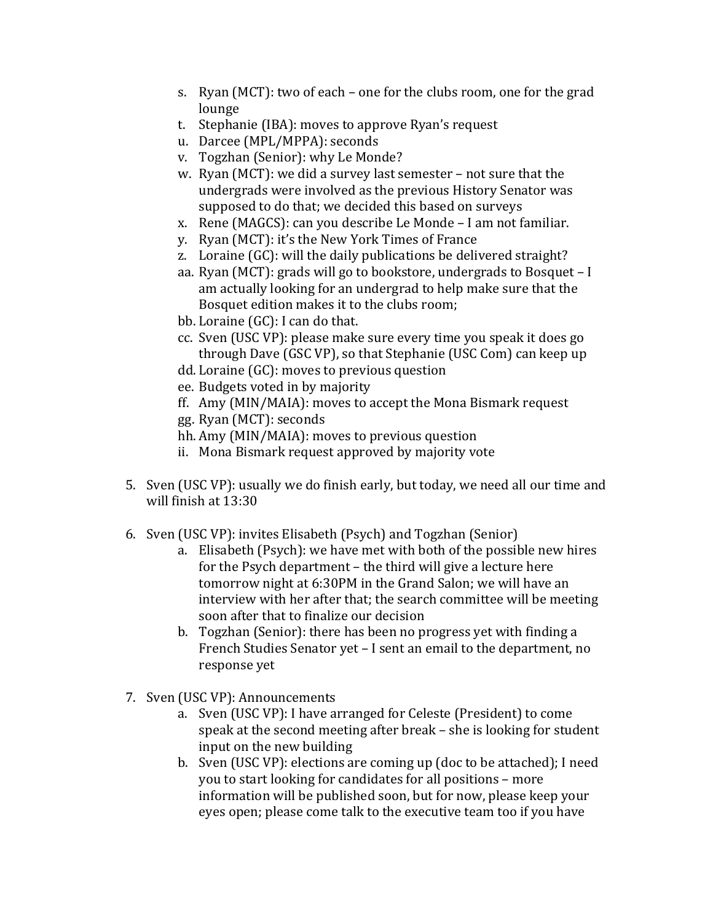- s. Ryan (MCT): two of each one for the clubs room, one for the grad lounge
- t. Stephanie (IBA): moves to approve Ryan's request
- u. Darcee (MPL/MPPA): seconds
- v. Togzhan (Senior): why Le Monde?
- w. Ryan (MCT): we did a survey last semester not sure that the undergrads were involved as the previous History Senator was supposed to do that; we decided this based on surveys
- x. Rene (MAGCS): can you describe Le Monde I am not familiar.
- y. Ryan (MCT): it's the New York Times of France
- z. Loraine  $(GC)$ : will the daily publications be delivered straight?
- aa. Ryan (MCT): grads will go to bookstore, undergrads to Bosquet I am actually looking for an undergrad to help make sure that the Bosquet edition makes it to the clubs room;
- bb. Loraine (GC): I can do that.
- cc. Sven (USC VP): please make sure every time you speak it does go through Dave (GSC VP), so that Stephanie (USC Com) can keep up
- $dd.$  Loraine  $(GC)$ : moves to previous question
- ee. Budgets voted in by majority
- ff. Amy (MIN/MAIA): moves to accept the Mona Bismark request
- gg. Ryan (MCT): seconds
- hh. Amy (MIN/MAIA): moves to previous question
- ii. Mona Bismark request approved by majority vote
- 5. Sven (USC VP): usually we do finish early, but today, we need all our time and will finish at 13:30
- 6. Sven (USC VP): invites Elisabeth (Psych) and Togzhan (Senior)
	- a. Elisabeth (Psych): we have met with both of the possible new hires for the Psych department – the third will give a lecture here tomorrow night at 6:30PM in the Grand Salon; we will have an interview with her after that; the search committee will be meeting soon after that to finalize our decision
	- b. Togzhan (Senior): there has been no progress yet with finding a French Studies Senator yet – I sent an email to the department, no response yet
- 7. Sven (USC VP): Announcements
	- a. Sven (USC VP): I have arranged for Celeste (President) to come speak at the second meeting after break – she is looking for student input on the new building
	- b. Sven (USC VP): elections are coming up (doc to be attached); I need you to start looking for candidates for all positions – more information will be published soon, but for now, please keep your eyes open; please come talk to the executive team too if you have